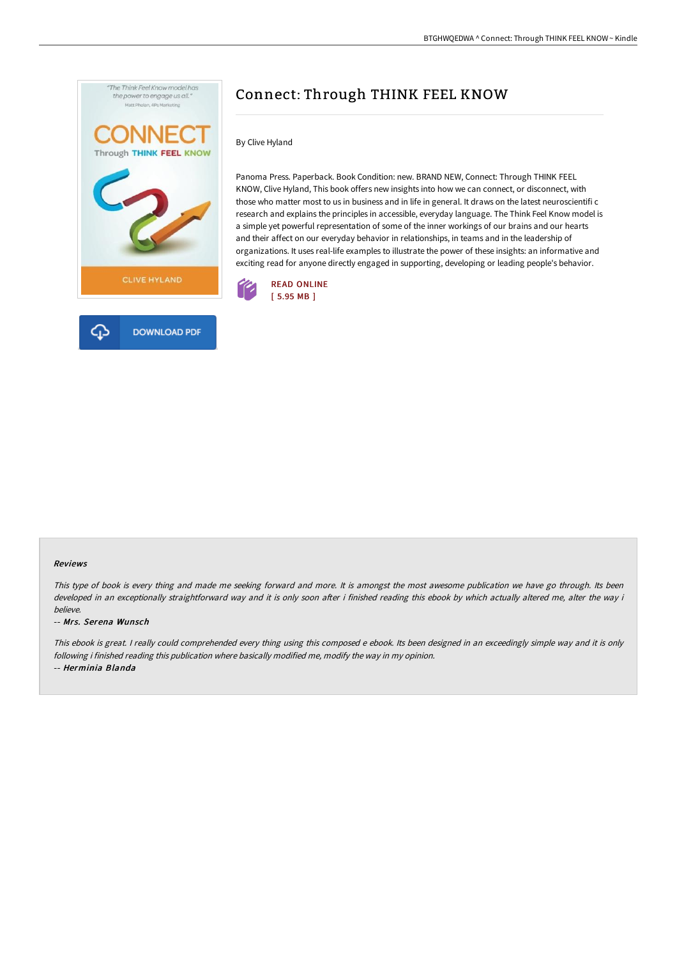

# Connect: Through THINK FEEL KNOW

By Clive Hyland

Panoma Press. Paperback. Book Condition: new. BRAND NEW, Connect: Through THINK FEEL KNOW, Clive Hyland, This book offers new insights into how we can connect, or disconnect, with those who matter most to us in business and in life in general. It draws on the latest neuroscientifi c research and explains the principles in accessible, everyday language. The Think Feel Know model is a simple yet powerful representation of some of the inner workings of our brains and our hearts and their affect on our everyday behavior in relationships, in teams and in the leadership of organizations. It uses real-life examples to illustrate the power of these insights: an informative and exciting read for anyone directly engaged in supporting, developing or leading people's behavior.





#### Reviews

This type of book is every thing and made me seeking forward and more. It is amongst the most awesome publication we have go through. Its been developed in an exceptionally straightforward way and it is only soon after i finished reading this ebook by which actually altered me, alter the way i believe.

#### -- Mrs. Serena Wunsch

This ebook is great. I really could comprehended every thing using this composed <sup>e</sup> ebook. Its been designed in an exceedingly simple way and it is only following i finished reading this publication where basically modified me, modify the way in my opinion. -- Herminia Blanda